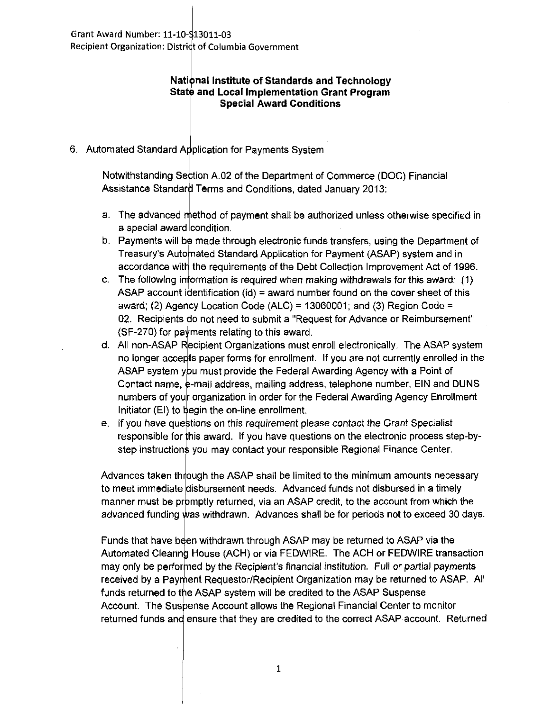## **Nati nallnstitute of Standards and Technology State and Local Implementation Grant Program Special Award Conditions**

## 6. Automated Standard Application for Payments System

Notwithstanding Section A.02 of the Department of Commerce (DOC) Financial Assistance Standard Terms and Conditions, dated January 2013:

- a. The advanced method of payment shall be authorized unless otherwise specified in a special award condition.
- b. Payments will be made through electronic funds transfers, using the Department of Treasury's Automated Standard Application for Payment (ASAP) system and in accordance with the requirements of the Debt Collection Improvement Act of 1996.
- c. The following information is required when making withdrawals for this award:  $(1)$ ASAP account identification (id) = award number found on the cover sheet of this award; (2) Agency Location Code (ALC) = 13060001; and (3) Region Code = 02. Recipients do not need to submit a "Request for Advance or Reimbursement"  $(SF-270)$  for payments relating to this award.
- d. All non-ASAP Recipient Organizations must enroll electronically. The ASAP system no longer accepts paper forms for enrollment. If you are not currently enrolled in the ASAP system you must provide the Federal Awarding Agency with a Point of Contact name, e-mail address, mailing address, telephone number, EIN and DUNS numbers of your organization in order for the Federal Awarding Agency Enrollment Initiator  $(EI)$  to begin the on-line enrollment.
- e. If you have questions on this requirement please contact the Grant Specialist responsible for this award. If you have questions on the electronic process step-bystep instructions you may contact your responsible Regional Finance Center.

Advances taken through the ASAP shall be limited to the minimum amounts necessary to meet immediate disbursement needs. Advanced funds not disbursed in a timely manner must be promptly returned, via an ASAP credit, to the account from which the advanced funding was withdrawn. Advances shall be for periods not to exceed 30 days.

Funds that have been withdrawn through ASAP may be returned to ASAP via the Automated Clearing House (ACH) or via FEDWIRE. The ACH or FEDWIRE transaction may only be performed by the Recipient's financial institution. Full or partial payments received by a Payment Requestor/Recipient Organization may be returned to ASAP. All funds returned to the ASAP system will be credited to the ASAP Suspense Account. The Suspense Account allows the Regional Financial Center to monitor returned funds and ensure that they are credited to the correct ASAP account. Returned